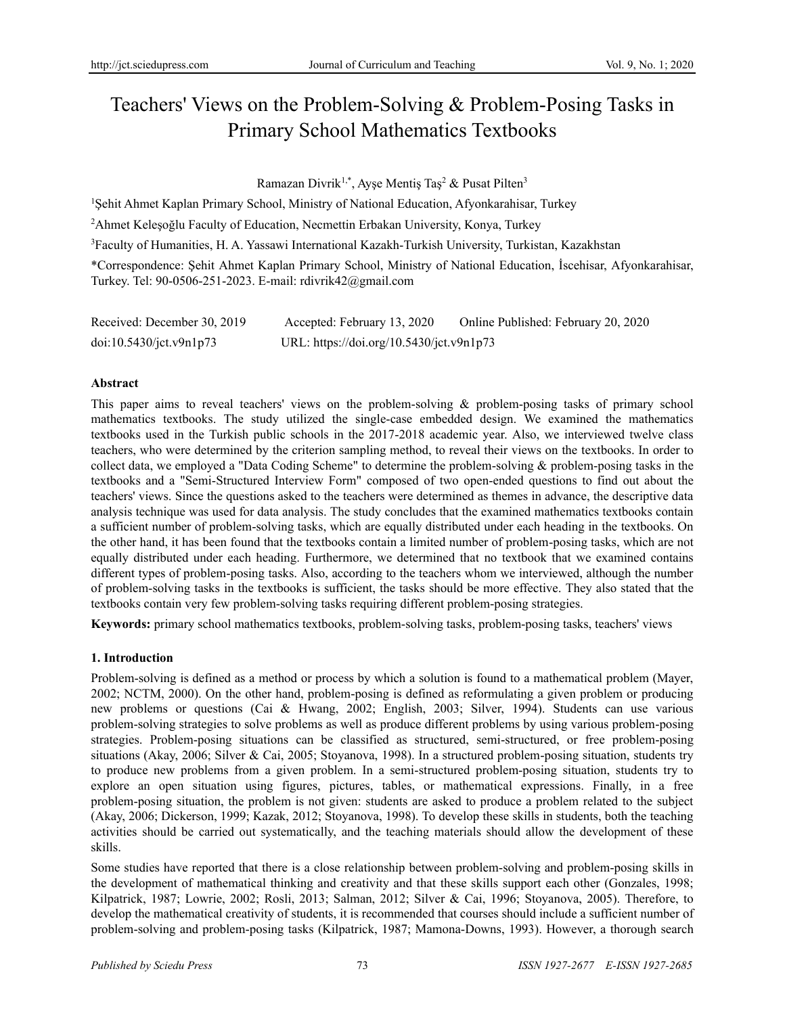# Teachers' Views on the Problem-Solving & Problem-Posing Tasks in Primary School Mathematics Textbooks

Ramazan Divrik<sup>1,\*</sup>, Ayşe Mentiş Taş<sup>2</sup> & Pusat Pilten<sup>3</sup>

<sup>1</sup>Şehit Ahmet Kaplan Primary School, Ministry of National Education, Afyonkarahisar, Turkey

<sup>2</sup>Ahmet Keleşoğlu Faculty of Education, Necmettin Erbakan University, Konya, Turkey

<sup>3</sup>Faculty of Humanities, H. A. Yassawi International Kazakh-Turkish University, Turkistan, Kazakhstan

\*Correspondence: Şehit Ahmet Kaplan Primary School, Ministry of National Education, İscehisar, Afyonkarahisar, Turkey. Tel: 90-0506-251-2023. E-mail: rdivrik42@gmail.com

| Received: December 30, 2019 | Accepted: February 13, 2020              | Online Published: February 20, 2020 |
|-----------------------------|------------------------------------------|-------------------------------------|
| doi:10.5430/jct.v9n1p73     | URL: https://doi.org/10.5430/jct.v9n1p73 |                                     |

## **Abstract**

This paper aims to reveal teachers' views on the problem-solving & problem-posing tasks of primary school mathematics textbooks. The study utilized the single-case embedded design. We examined the mathematics textbooks used in the Turkish public schools in the 2017-2018 academic year. Also, we interviewed twelve class teachers, who were determined by the criterion sampling method, to reveal their views on the textbooks. In order to collect data, we employed a "Data Coding Scheme" to determine the problem-solving & problem-posing tasks in the textbooks and a "Semi-Structured Interview Form" composed of two open-ended questions to find out about the teachers' views. Since the questions asked to the teachers were determined as themes in advance, the descriptive data analysis technique was used for data analysis. The study concludes that the examined mathematics textbooks contain a sufficient number of problem-solving tasks, which are equally distributed under each heading in the textbooks. On the other hand, it has been found that the textbooks contain a limited number of problem-posing tasks, which are not equally distributed under each heading. Furthermore, we determined that no textbook that we examined contains different types of problem-posing tasks. Also, according to the teachers whom we interviewed, although the number of problem-solving tasks in the textbooks is sufficient, the tasks should be more effective. They also stated that the textbooks contain very few problem-solving tasks requiring different problem-posing strategies.

**Keywords:** primary school mathematics textbooks, problem-solving tasks, problem-posing tasks, teachers' views

### **1. Introduction**

Problem-solving is defined as a method or process by which a solution is found to a mathematical problem (Mayer, 2002; NCTM, 2000). On the other hand, problem-posing is defined as reformulating a given problem or producing new problems or questions (Cai & Hwang, 2002; English, 2003; Silver, 1994). Students can use various problem-solving strategies to solve problems as well as produce different problems by using various problem-posing strategies. Problem-posing situations can be classified as structured, semi-structured, or free problem-posing situations (Akay, 2006; Silver & Cai, 2005; Stoyanova, 1998). In a structured problem-posing situation, students try to produce new problems from a given problem. In a semi-structured problem-posing situation, students try to explore an open situation using figures, pictures, tables, or mathematical expressions. Finally, in a free problem-posing situation, the problem is not given: students are asked to produce a problem related to the subject (Akay, 2006; Dickerson, 1999; Kazak, 2012; Stoyanova, 1998). To develop these skills in students, both the teaching activities should be carried out systematically, and the teaching materials should allow the development of these skills.

Some studies have reported that there is a close relationship between problem-solving and problem-posing skills in the development of mathematical thinking and creativity and that these skills support each other (Gonzales, 1998; Kilpatrick, 1987; Lowrie, 2002; Rosli, 2013; Salman, 2012; Silver & Cai, 1996; Stoyanova, 2005). Therefore, to develop the mathematical creativity of students, it is recommended that courses should include a sufficient number of problem-solving and problem-posing tasks (Kilpatrick, 1987; Mamona-Downs, 1993). However, a thorough search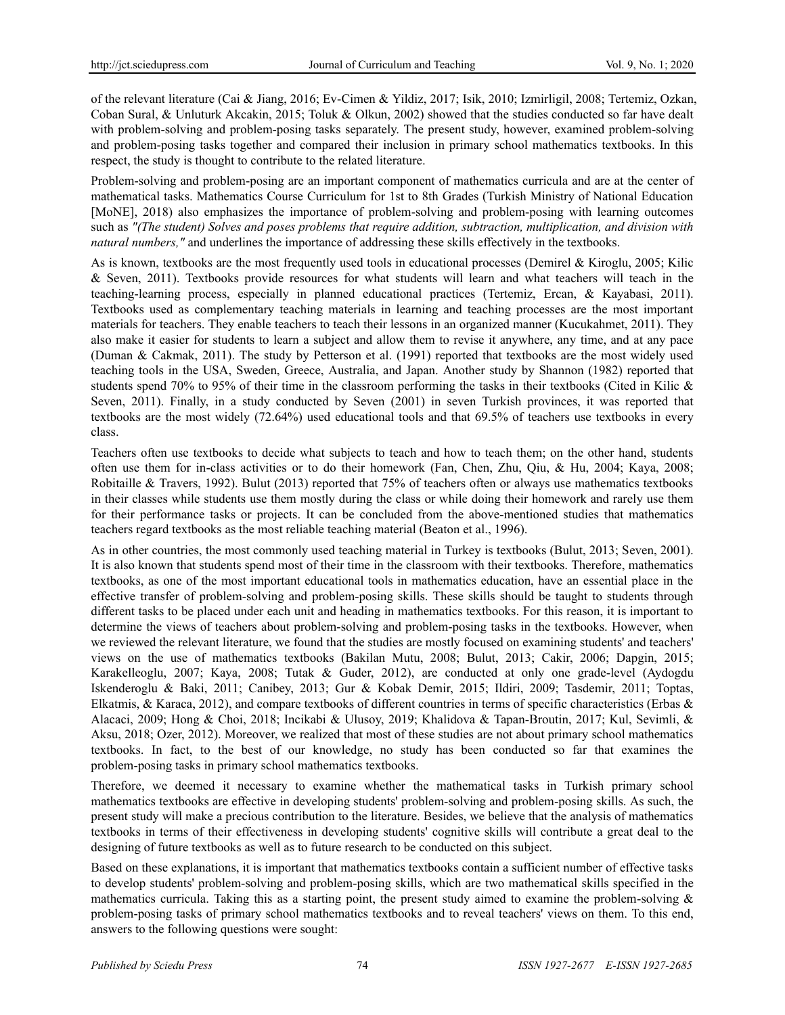of the relevant literature (Cai & Jiang, 2016; Ev-Cimen & Yildiz, 2017; Isik, 2010; Izmirligil, 2008; Tertemiz, Ozkan, Coban Sural, & Unluturk Akcakin, 2015; Toluk & Olkun, 2002) showed that the studies conducted so far have dealt with problem-solving and problem-posing tasks separately. The present study, however, examined problem-solving and problem-posing tasks together and compared their inclusion in primary school mathematics textbooks. In this respect, the study is thought to contribute to the related literature.

Problem-solving and problem-posing are an important component of mathematics curricula and are at the center of mathematical tasks. Mathematics Course Curriculum for 1st to 8th Grades (Turkish Ministry of National Education [MoNE], 2018) also emphasizes the importance of problem-solving and problem-posing with learning outcomes such as *"(The student) Solves and poses problems that require addition, subtraction, multiplication, and division with natural numbers,"* and underlines the importance of addressing these skills effectively in the textbooks.

As is known, textbooks are the most frequently used tools in educational processes (Demirel & Kiroglu, 2005; Kilic & Seven, 2011). Textbooks provide resources for what students will learn and what teachers will teach in the teaching-learning process, especially in planned educational practices (Tertemiz, Ercan, & Kayabasi, 2011). Textbooks used as complementary teaching materials in learning and teaching processes are the most important materials for teachers. They enable teachers to teach their lessons in an organized manner (Kucukahmet, 2011). They also make it easier for students to learn a subject and allow them to revise it anywhere, any time, and at any pace (Duman & Cakmak, 2011). The study by Petterson et al. (1991) reported that textbooks are the most widely used teaching tools in the USA, Sweden, Greece, Australia, and Japan. Another study by Shannon (1982) reported that students spend 70% to 95% of their time in the classroom performing the tasks in their textbooks (Cited in Kilic & Seven, 2011). Finally, in a study conducted by Seven (2001) in seven Turkish provinces, it was reported that textbooks are the most widely (72.64%) used educational tools and that 69.5% of teachers use textbooks in every class.

Teachers often use textbooks to decide what subjects to teach and how to teach them; on the other hand, students often use them for in-class activities or to do their homework (Fan, Chen, Zhu, Qiu, & Hu, 2004; Kaya, 2008; Robitaille & Travers, 1992). Bulut (2013) reported that 75% of teachers often or always use mathematics textbooks in their classes while students use them mostly during the class or while doing their homework and rarely use them for their performance tasks or projects. It can be concluded from the above-mentioned studies that mathematics teachers regard textbooks as the most reliable teaching material (Beaton et al., 1996).

As in other countries, the most commonly used teaching material in Turkey is textbooks (Bulut, 2013; Seven, 2001). It is also known that students spend most of their time in the classroom with their textbooks. Therefore, mathematics textbooks, as one of the most important educational tools in mathematics education, have an essential place in the effective transfer of problem-solving and problem-posing skills. These skills should be taught to students through different tasks to be placed under each unit and heading in mathematics textbooks. For this reason, it is important to determine the views of teachers about problem-solving and problem-posing tasks in the textbooks. However, when we reviewed the relevant literature, we found that the studies are mostly focused on examining students' and teachers' views on the use of mathematics textbooks (Bakilan Mutu, 2008; Bulut, 2013; Cakir, 2006; Dapgin, 2015; Karakelleoglu, 2007; Kaya, 2008; Tutak & Guder, 2012), are conducted at only one grade-level (Aydogdu Iskenderoglu & Baki, 2011; Canibey, 2013; Gur & Kobak Demir, 2015; Ildiri, 2009; Tasdemir, 2011; Toptas, Elkatmis, & Karaca, 2012), and compare textbooks of different countries in terms of specific characteristics (Erbas & Alacaci, 2009; Hong & Choi, 2018; Incikabi & Ulusoy, 2019; Khalidova & Tapan-Broutin, 2017; Kul, Sevimli, & Aksu, 2018; Ozer, 2012). Moreover, we realized that most of these studies are not about primary school mathematics textbooks. In fact, to the best of our knowledge, no study has been conducted so far that examines the problem-posing tasks in primary school mathematics textbooks.

Therefore, we deemed it necessary to examine whether the mathematical tasks in Turkish primary school mathematics textbooks are effective in developing students' problem-solving and problem-posing skills. As such, the present study will make a precious contribution to the literature. Besides, we believe that the analysis of mathematics textbooks in terms of their effectiveness in developing students' cognitive skills will contribute a great deal to the designing of future textbooks as well as to future research to be conducted on this subject.

Based on these explanations, it is important that mathematics textbooks contain a sufficient number of effective tasks to develop students' problem-solving and problem-posing skills, which are two mathematical skills specified in the mathematics curricula. Taking this as a starting point, the present study aimed to examine the problem-solving  $\&$ problem-posing tasks of primary school mathematics textbooks and to reveal teachers' views on them. To this end, answers to the following questions were sought: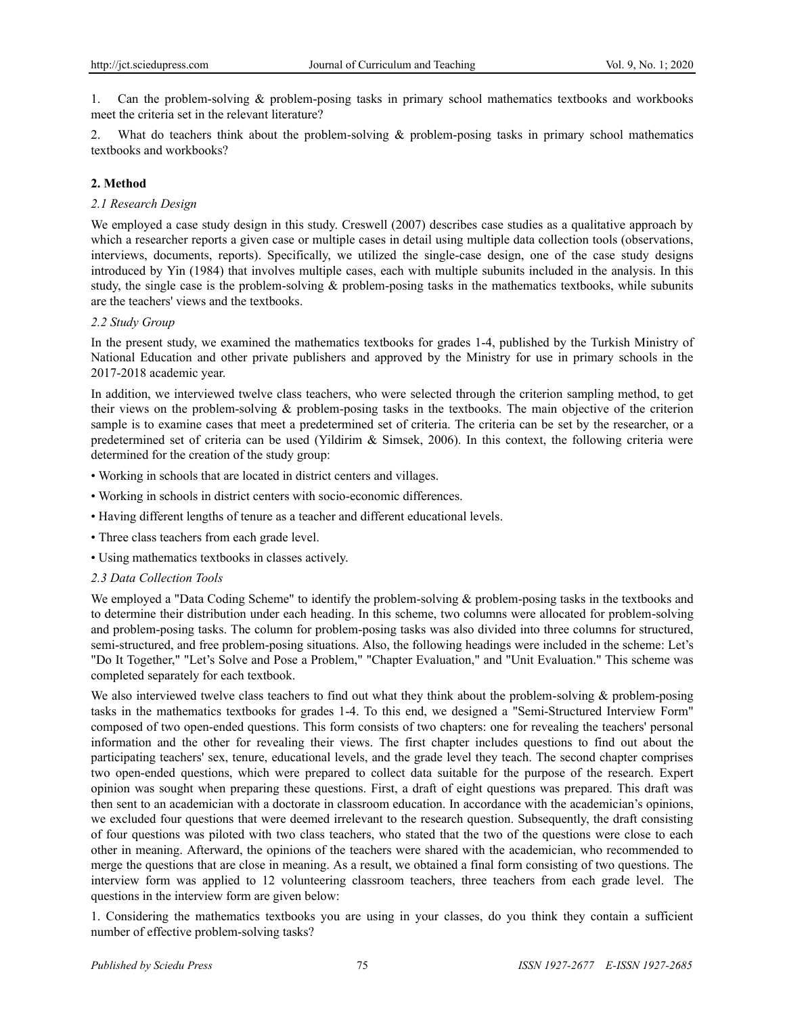1. Can the problem-solving & problem-posing tasks in primary school mathematics textbooks and workbooks meet the criteria set in the relevant literature?

What do teachers think about the problem-solving  $\&$  problem-posing tasks in primary school mathematics textbooks and workbooks?

#### **2. Method**

#### *2.1 Research Design*

We employed a case study design in this study. Creswell (2007) describes case studies as a qualitative approach by which a researcher reports a given case or multiple cases in detail using multiple data collection tools (observations, interviews, documents, reports). Specifically, we utilized the single-case design, one of the case study designs introduced by Yin (1984) that involves multiple cases, each with multiple subunits included in the analysis. In this study, the single case is the problem-solving & problem-posing tasks in the mathematics textbooks, while subunits are the teachers' views and the textbooks.

#### *2.2 Study Group*

In the present study, we examined the mathematics textbooks for grades 1-4, published by the Turkish Ministry of National Education and other private publishers and approved by the Ministry for use in primary schools in the 2017-2018 academic year.

In addition, we interviewed twelve class teachers, who were selected through the criterion sampling method, to get their views on the problem-solving & problem-posing tasks in the textbooks. The main objective of the criterion sample is to examine cases that meet a predetermined set of criteria. The criteria can be set by the researcher, or a predetermined set of criteria can be used (Yildirim & Simsek, 2006). In this context, the following criteria were determined for the creation of the study group:

- Working in schools that are located in district centers and villages.
- Working in schools in district centers with socio-economic differences.
- Having different lengths of tenure as a teacher and different educational levels.
- Three class teachers from each grade level.
- Using mathematics textbooks in classes actively.

#### *2.3 Data Collection Tools*

We employed a "Data Coding Scheme" to identify the problem-solving & problem-posing tasks in the textbooks and to determine their distribution under each heading. In this scheme, two columns were allocated for problem-solving and problem-posing tasks. The column for problem-posing tasks was also divided into three columns for structured, semi-structured, and free problem-posing situations. Also, the following headings were included in the scheme: Let's "Do It Together," "Let's Solve and Pose a Problem," "Chapter Evaluation," and "Unit Evaluation." This scheme was completed separately for each textbook.

We also interviewed twelve class teachers to find out what they think about the problem-solving & problem-posing tasks in the mathematics textbooks for grades 1-4. To this end, we designed a "Semi-Structured Interview Form" composed of two open-ended questions. This form consists of two chapters: one for revealing the teachers' personal information and the other for revealing their views. The first chapter includes questions to find out about the participating teachers' sex, tenure, educational levels, and the grade level they teach. The second chapter comprises two open-ended questions, which were prepared to collect data suitable for the purpose of the research. Expert opinion was sought when preparing these questions. First, a draft of eight questions was prepared. This draft was then sent to an academician with a doctorate in classroom education. In accordance with the academician's opinions, we excluded four questions that were deemed irrelevant to the research question. Subsequently, the draft consisting of four questions was piloted with two class teachers, who stated that the two of the questions were close to each other in meaning. Afterward, the opinions of the teachers were shared with the academician, who recommended to merge the questions that are close in meaning. As a result, we obtained a final form consisting of two questions. The interview form was applied to 12 volunteering classroom teachers, three teachers from each grade level. The questions in the interview form are given below:

1. Considering the mathematics textbooks you are using in your classes, do you think they contain a sufficient number of effective problem-solving tasks?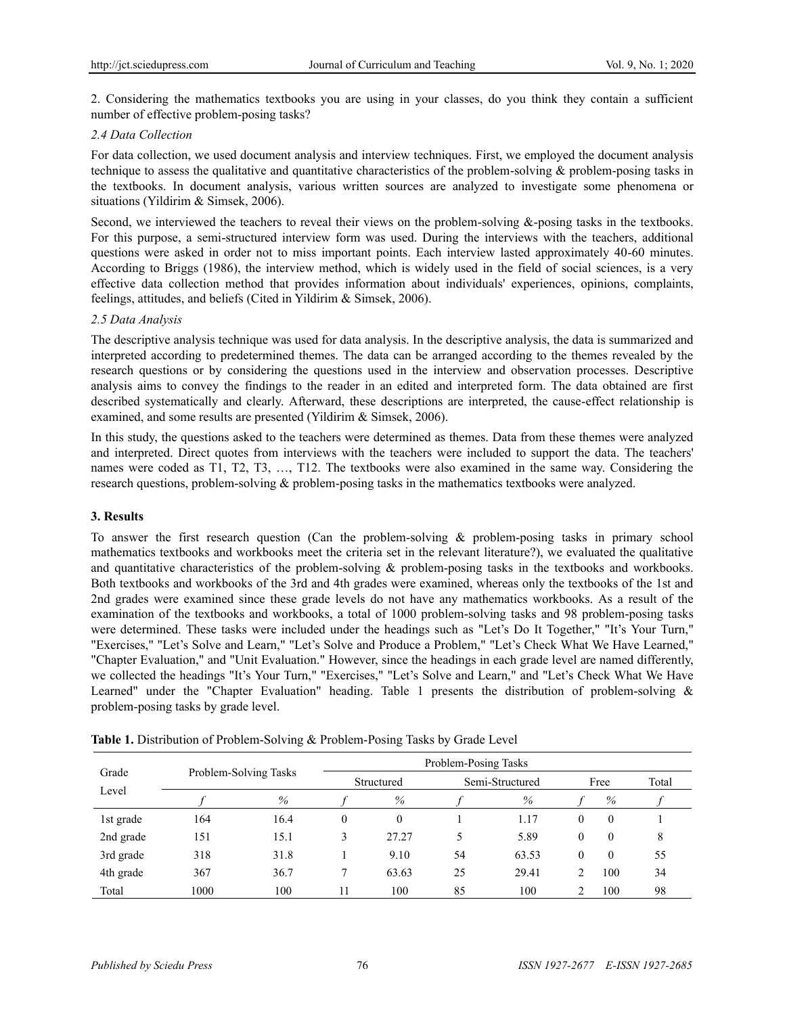2. Considering the mathematics textbooks you are using in your classes, do you think they contain a sufficient number of effective problem-posing tasks?

### *2.4 Data Collection*

For data collection, we used document analysis and interview techniques. First, we employed the document analysis technique to assess the qualitative and quantitative characteristics of the problem-solving & problem-posing tasks in the textbooks. In document analysis, various written sources are analyzed to investigate some phenomena or situations (Yildirim & Simsek, 2006).

Second, we interviewed the teachers to reveal their views on the problem-solving &-posing tasks in the textbooks. For this purpose, a semi-structured interview form was used. During the interviews with the teachers, additional questions were asked in order not to miss important points. Each interview lasted approximately 40-60 minutes. According to Briggs (1986), the interview method, which is widely used in the field of social sciences, is a very effective data collection method that provides information about individuals' experiences, opinions, complaints, feelings, attitudes, and beliefs (Cited in Yildirim & Simsek, 2006).

### *2.5 Data Analysis*

The descriptive analysis technique was used for data analysis. In the descriptive analysis, the data is summarized and interpreted according to predetermined themes. The data can be arranged according to the themes revealed by the research questions or by considering the questions used in the interview and observation processes. Descriptive analysis aims to convey the findings to the reader in an edited and interpreted form. The data obtained are first described systematically and clearly. Afterward, these descriptions are interpreted, the cause-effect relationship is examined, and some results are presented (Yildirim & Simsek, 2006).

In this study, the questions asked to the teachers were determined as themes. Data from these themes were analyzed and interpreted. Direct quotes from interviews with the teachers were included to support the data. The teachers' names were coded as T1, T2, T3, …, T12. The textbooks were also examined in the same way. Considering the research questions, problem-solving & problem-posing tasks in the mathematics textbooks were analyzed.

### **3. Results**

To answer the first research question (Can the problem-solving & problem-posing tasks in primary school mathematics textbooks and workbooks meet the criteria set in the relevant literature?), we evaluated the qualitative and quantitative characteristics of the problem-solving & problem-posing tasks in the textbooks and workbooks. Both textbooks and workbooks of the 3rd and 4th grades were examined, whereas only the textbooks of the 1st and 2nd grades were examined since these grade levels do not have any mathematics workbooks. As a result of the examination of the textbooks and workbooks, a total of 1000 problem-solving tasks and 98 problem-posing tasks were determined. These tasks were included under the headings such as "Let's Do It Together," "It's Your Turn," "Exercises," "Let's Solve and Learn," "Let's Solve and Produce a Problem," "Let's Check What We Have Learned," "Chapter Evaluation," and "Unit Evaluation." However, since the headings in each grade level are named differently, we collected the headings "It's Your Turn," "Exercises," "Let's Solve and Learn," and "Let's Check What We Have Learned" under the "Chapter Evaluation" heading. Table 1 presents the distribution of problem-solving & problem-posing tasks by grade level.

| Grade<br>Level |      |                       | Problem-Posing Tasks |          |                 |       |              |                |       |
|----------------|------|-----------------------|----------------------|----------|-----------------|-------|--------------|----------------|-------|
|                |      | Problem-Solving Tasks | Structured           |          | Semi-Structured |       | Free         |                | Total |
|                |      | $\%$                  |                      | %        |                 | %     |              | %              |       |
| 1st grade      | 164  | 16.4                  | $\theta$             | $\theta$ |                 | 1.17  | $\mathbf{0}$ | $\overline{0}$ |       |
| 2nd grade      | 151  | 15.1                  | 3                    | 27.27    | 5               | 5.89  | $\mathbf{0}$ | $\Omega$       | 8     |
| 3rd grade      | 318  | 31.8                  |                      | 9.10     | 54              | 63.53 | $\mathbf{0}$ | $\Omega$       | 55    |
| 4th grade      | 367  | 36.7                  |                      | 63.63    | 25              | 29.41 | ∍            | 100            | 34    |
| Total          | 1000 | 100                   | 11                   | 100      | 85              | 100   | ∍            | 100            | 98    |

**Table 1.** Distribution of Problem-Solving & Problem-Posing Tasks by Grade Level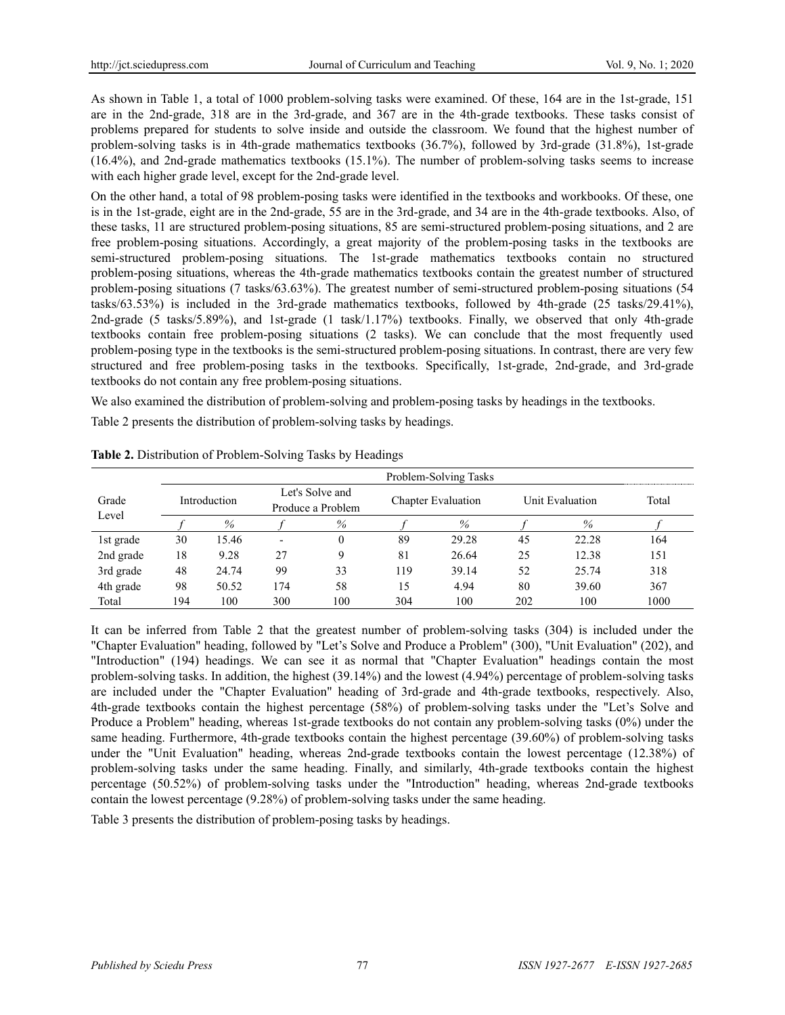As shown in Table 1, a total of 1000 problem-solving tasks were examined. Of these, 164 are in the 1st-grade, 151 are in the 2nd-grade, 318 are in the 3rd-grade, and 367 are in the 4th-grade textbooks. These tasks consist of problems prepared for students to solve inside and outside the classroom. We found that the highest number of problem-solving tasks is in 4th-grade mathematics textbooks (36.7%), followed by 3rd-grade (31.8%), 1st-grade (16.4%), and 2nd-grade mathematics textbooks (15.1%). The number of problem-solving tasks seems to increase with each higher grade level, except for the 2nd-grade level.

On the other hand, a total of 98 problem-posing tasks were identified in the textbooks and workbooks. Of these, one is in the 1st-grade, eight are in the 2nd-grade, 55 are in the 3rd-grade, and 34 are in the 4th-grade textbooks. Also, of these tasks, 11 are structured problem-posing situations, 85 are semi-structured problem-posing situations, and 2 are free problem-posing situations. Accordingly, a great majority of the problem-posing tasks in the textbooks are semi-structured problem-posing situations. The 1st-grade mathematics textbooks contain no structured problem-posing situations, whereas the 4th-grade mathematics textbooks contain the greatest number of structured problem-posing situations (7 tasks/63.63%). The greatest number of semi-structured problem-posing situations (54 tasks/63.53%) is included in the 3rd-grade mathematics textbooks, followed by 4th-grade (25 tasks/29.41%), 2nd-grade (5 tasks/5.89%), and 1st-grade (1 task/1.17%) textbooks. Finally, we observed that only 4th-grade textbooks contain free problem-posing situations (2 tasks). We can conclude that the most frequently used problem-posing type in the textbooks is the semi-structured problem-posing situations. In contrast, there are very few structured and free problem-posing tasks in the textbooks. Specifically, 1st-grade, 2nd-grade, and 3rd-grade textbooks do not contain any free problem-posing situations.

We also examined the distribution of problem-solving and problem-posing tasks by headings in the textbooks.

Table 2 presents the distribution of problem-solving tasks by headings.

|           |     |              |                                      |      |                           | Problem-Solving Tasks |                 |       |       |
|-----------|-----|--------------|--------------------------------------|------|---------------------------|-----------------------|-----------------|-------|-------|
| Grade     |     | Introduction | Let's Solve and<br>Produce a Problem |      | <b>Chapter Evaluation</b> |                       | Unit Evaluation |       | Total |
| Level     |     | %            |                                      | $\%$ |                           | $\%$                  |                 | $\%$  |       |
| 1st grade | 30  | 15.46        |                                      | 0    | 89                        | 29.28                 | 45              | 22.28 | 164   |
| 2nd grade | 18  | 9.28         | 27                                   | Q    | 81                        | 26.64                 | 25              | 12.38 | 151   |
| 3rd grade | 48  | 24.74        | 99                                   | 33   | 119                       | 39.14                 | 52              | 25.74 | 318   |
| 4th grade | 98  | 50.52        | 174                                  | 58   | 15                        | 4.94                  | 80              | 39.60 | 367   |
| Total     | 194 | 100          | 300                                  | 100  | 304                       | 100                   | 202             | 100   | 1000  |

**Table 2.** Distribution of Problem-Solving Tasks by Headings

It can be inferred from Table 2 that the greatest number of problem-solving tasks (304) is included under the "Chapter Evaluation" heading, followed by "Let's Solve and Produce a Problem" (300), "Unit Evaluation" (202), and "Introduction" (194) headings. We can see it as normal that "Chapter Evaluation" headings contain the most problem-solving tasks. In addition, the highest (39.14%) and the lowest (4.94%) percentage of problem-solving tasks are included under the "Chapter Evaluation" heading of 3rd-grade and 4th-grade textbooks, respectively. Also, 4th-grade textbooks contain the highest percentage (58%) of problem-solving tasks under the "Let's Solve and Produce a Problem" heading, whereas 1st-grade textbooks do not contain any problem-solving tasks (0%) under the same heading. Furthermore, 4th-grade textbooks contain the highest percentage (39.60%) of problem-solving tasks under the "Unit Evaluation" heading, whereas 2nd-grade textbooks contain the lowest percentage (12.38%) of problem-solving tasks under the same heading. Finally, and similarly, 4th-grade textbooks contain the highest percentage (50.52%) of problem-solving tasks under the "Introduction" heading, whereas 2nd-grade textbooks contain the lowest percentage (9.28%) of problem-solving tasks under the same heading.

Table 3 presents the distribution of problem-posing tasks by headings.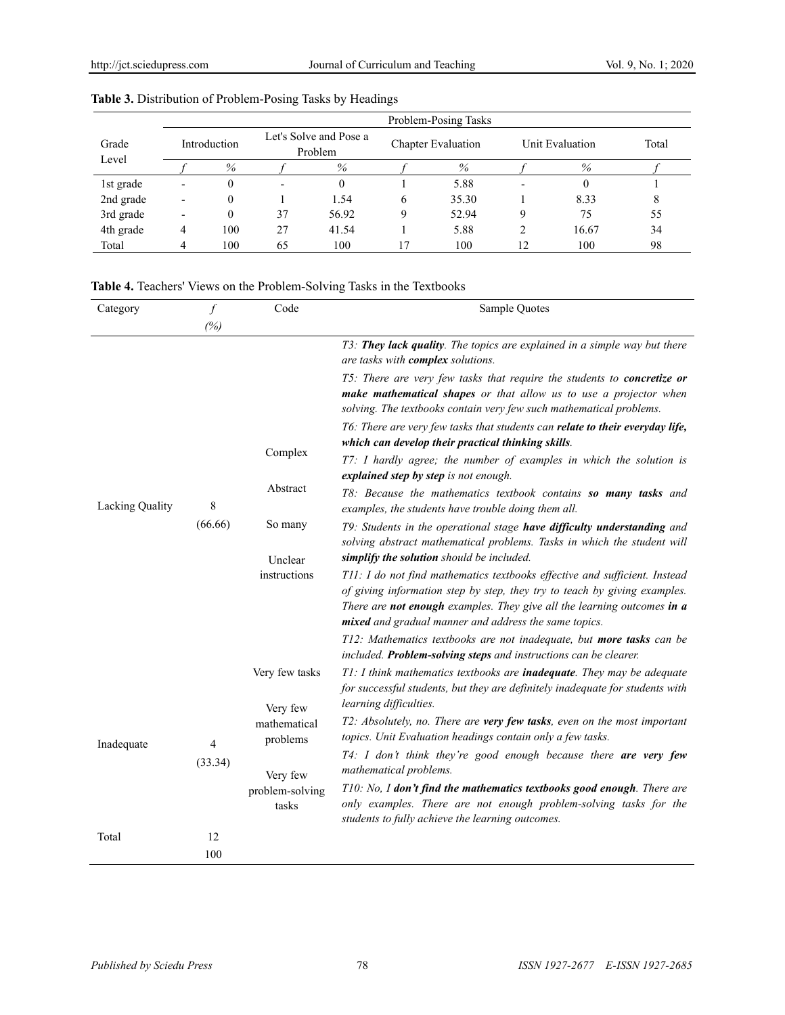|           | Problem-Posing Tasks     |      |                                   |       |                    |       |                 |       |       |  |
|-----------|--------------------------|------|-----------------------------------|-------|--------------------|-------|-----------------|-------|-------|--|
| Grade     | Introduction             |      | Let's Solve and Pose a<br>Problem |       | Chapter Evaluation |       | Unit Evaluation |       | Total |  |
| Level     |                          | $\%$ |                                   | $\%$  |                    | %     |                 | $\%$  |       |  |
| 1st grade | ٠                        |      |                                   |       |                    | 5.88  |                 |       |       |  |
| 2nd grade | $\overline{\phantom{0}}$ |      |                                   | 1.54  | 6                  | 35.30 |                 | 8.33  | 8     |  |
| 3rd grade | $\overline{\phantom{0}}$ |      | 37                                | 56.92 | Q                  | 52.94 |                 | 75    | 55    |  |
| 4th grade | 4                        | 100  | 27                                | 41.54 |                    | 5.88  | ↑               | 16.67 | 34    |  |
| Total     |                          | 100  | 65                                | 100   |                    | 100   | 12              | 100   | 98    |  |

### **Table 3.** Distribution of Problem-Posing Tasks by Headings

# **Table 4.** Teachers' Views on the Problem-Solving Tasks in the Textbooks

| Category        | $\int$                               | Code                       | Sample Quotes                                                                                                                                                                                                                                                                               |
|-----------------|--------------------------------------|----------------------------|---------------------------------------------------------------------------------------------------------------------------------------------------------------------------------------------------------------------------------------------------------------------------------------------|
|                 | (%)                                  |                            |                                                                                                                                                                                                                                                                                             |
|                 |                                      |                            | T3. They lack quality. The topics are explained in a simple way but there<br>are tasks with complex solutions.                                                                                                                                                                              |
|                 |                                      |                            | T5: There are very few tasks that require the students to concretize or<br>make mathematical shapes or that allow us to use a projector when<br>solving. The textbooks contain very few such mathematical problems.                                                                         |
|                 |                                      | Complex                    | T6: There are very few tasks that students can relate to their everyday life,<br>which can develop their practical thinking skills.                                                                                                                                                         |
|                 |                                      |                            | T7: I hardly agree; the number of examples in which the solution is<br>explained step by step is not enough.                                                                                                                                                                                |
| Lacking Quality | 8                                    | Abstract                   | T8: Because the mathematics textbook contains so many tasks and<br>examples, the students have trouble doing them all.                                                                                                                                                                      |
| Inadequate      | (66.66)<br>$\overline{4}$<br>(33.34) | So many                    | T9: Students in the operational stage have difficulty understanding and<br>solving abstract mathematical problems. Tasks in which the student will<br>simplify the solution should be included.                                                                                             |
|                 |                                      | Unclear<br>instructions    | T11: I do not find mathematics textbooks effective and sufficient. Instead<br>of giving information step by step, they try to teach by giving examples.<br>There are not enough examples. They give all the learning outcomes in a<br>mixed and gradual manner and address the same topics. |
|                 |                                      |                            | T12: Mathematics textbooks are not inadequate, but more tasks can be<br>included. Problem-solving steps and instructions can be clearer.                                                                                                                                                    |
|                 |                                      | Very few tasks<br>Very few | T1: I think mathematics textbooks are <i>inadequate</i> . They may be adequate<br>for successful students, but they are definitely inadequate for students with<br>learning difficulties.                                                                                                   |
|                 |                                      | mathematical<br>problems   | T2: Absolutely, no. There are very few tasks, even on the most important<br>topics. Unit Evaluation headings contain only a few tasks.                                                                                                                                                      |
|                 |                                      | Very few                   | T4: I don't think they're good enough because there are very few<br>mathematical problems.                                                                                                                                                                                                  |
|                 |                                      | problem-solving<br>tasks   | T10: No, I don't find the mathematics textbooks good enough. There are<br>only examples. There are not enough problem-solving tasks for the<br>students to fully achieve the learning outcomes.                                                                                             |
| Total           | 12                                   |                            |                                                                                                                                                                                                                                                                                             |
|                 | 100                                  |                            |                                                                                                                                                                                                                                                                                             |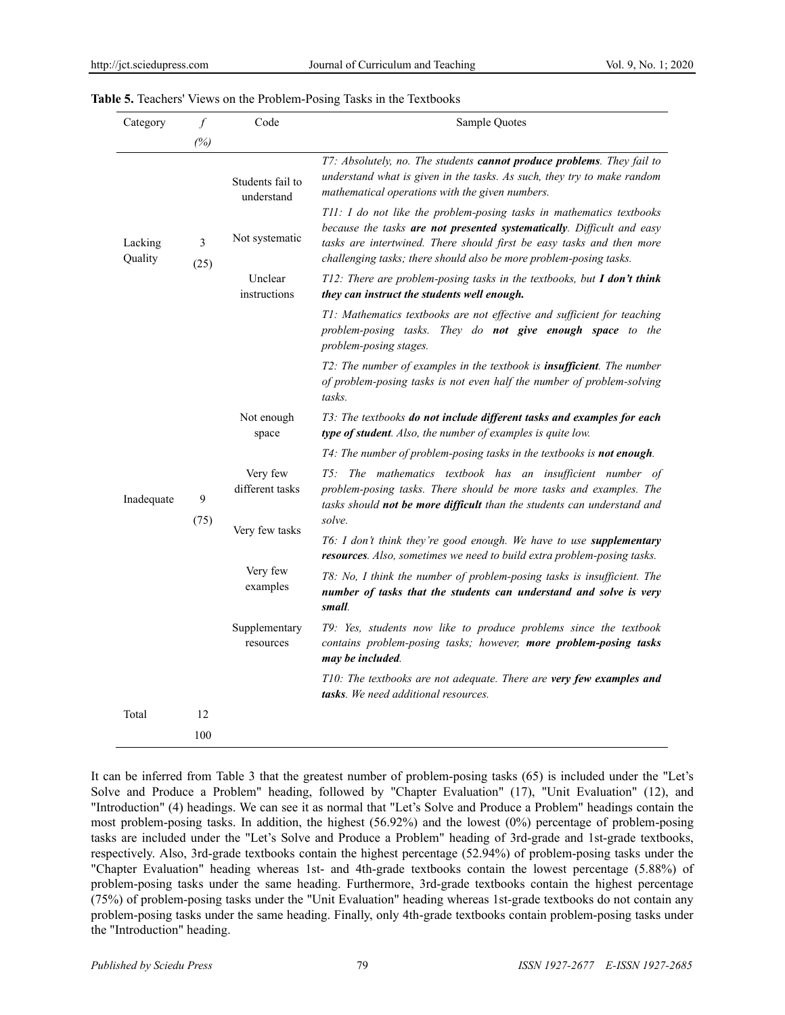| Category           | $\int$    | Code                           | Sample Quotes                                                                                                                                                                                                                                                                                 |
|--------------------|-----------|--------------------------------|-----------------------------------------------------------------------------------------------------------------------------------------------------------------------------------------------------------------------------------------------------------------------------------------------|
|                    | (%)       |                                |                                                                                                                                                                                                                                                                                               |
|                    |           | Students fail to<br>understand | T7: Absolutely, no. The students cannot produce problems. They fail to<br>understand what is given in the tasks. As such, they try to make random<br>mathematical operations with the given numbers.                                                                                          |
| Lacking<br>Quality | 3<br>(25) | Not systematic                 | T11: I do not like the problem-posing tasks in mathematics textbooks<br>because the tasks are not presented systematically. Difficult and easy<br>tasks are intertwined. There should first be easy tasks and then more<br>challenging tasks; there should also be more problem-posing tasks. |
|                    |           | Unclear<br>instructions        | T12: There are problem-posing tasks in the textbooks, but I don't think<br>they can instruct the students well enough.                                                                                                                                                                        |
|                    |           |                                | T1: Mathematics textbooks are not effective and sufficient for teaching<br>problem-posing tasks. They do not give enough space to the<br>problem-posing stages.                                                                                                                               |
|                    |           |                                | T2: The number of examples in the textbook is <i>insufficient</i> . The number<br>of problem-posing tasks is not even half the number of problem-solving<br>tasks.                                                                                                                            |
|                    |           | Not enough<br>space            | T3: The textbooks do not include different tasks and examples for each<br>type of student. Also, the number of examples is quite low.                                                                                                                                                         |
|                    |           |                                | T4: The number of problem-posing tasks in the textbooks is not enough.                                                                                                                                                                                                                        |
| Inadequate         | 9<br>(75) | Very few<br>different tasks    | T5: The mathematics textbook has an insufficient number of<br>problem-posing tasks. There should be more tasks and examples. The<br>tasks should not be more difficult than the students can understand and<br>solve.                                                                         |
|                    |           | Very few tasks                 | T6: I don't think they're good enough. We have to use supplementary<br>resources. Also, sometimes we need to build extra problem-posing tasks.                                                                                                                                                |
|                    |           | Very few<br>examples           | T8: No, I think the number of problem-posing tasks is insufficient. The<br>number of tasks that the students can understand and solve is very<br>small.                                                                                                                                       |
|                    |           | Supplementary<br>resources     | T9: Yes, students now like to produce problems since the textbook<br>contains problem-posing tasks; however, more problem-posing tasks<br>may be included.                                                                                                                                    |
|                    |           |                                | T10: The textbooks are not adequate. There are very few examples and<br><b>tasks</b> . We need additional resources.                                                                                                                                                                          |
| Total              | 12        |                                |                                                                                                                                                                                                                                                                                               |
|                    | 100       |                                |                                                                                                                                                                                                                                                                                               |

It can be inferred from Table 3 that the greatest number of problem-posing tasks (65) is included under the "Let's Solve and Produce a Problem" heading, followed by "Chapter Evaluation" (17), "Unit Evaluation" (12), and "Introduction" (4) headings. We can see it as normal that "Let's Solve and Produce a Problem" headings contain the most problem-posing tasks. In addition, the highest (56.92%) and the lowest (0%) percentage of problem-posing tasks are included under the "Let's Solve and Produce a Problem" heading of 3rd-grade and 1st-grade textbooks, respectively. Also, 3rd-grade textbooks contain the highest percentage (52.94%) of problem-posing tasks under the "Chapter Evaluation" heading whereas 1st- and 4th-grade textbooks contain the lowest percentage (5.88%) of problem-posing tasks under the same heading. Furthermore, 3rd-grade textbooks contain the highest percentage (75%) of problem-posing tasks under the "Unit Evaluation" heading whereas 1st-grade textbooks do not contain any problem-posing tasks under the same heading. Finally, only 4th-grade textbooks contain problem-posing tasks under the "Introduction" heading.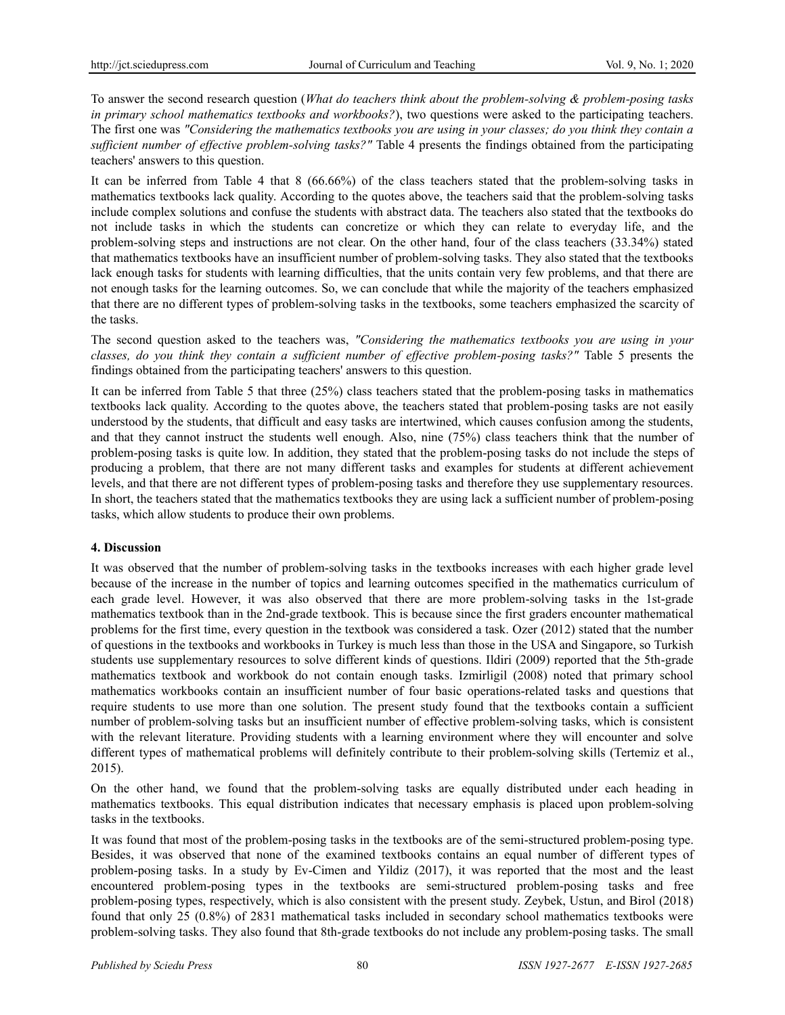To answer the second research question (*What do teachers think about the problem-solving & problem-posing tasks in primary school mathematics textbooks and workbooks?*), two questions were asked to the participating teachers. The first one was *"Considering the mathematics textbooks you are using in your classes; do you think they contain a sufficient number of effective problem-solving tasks?"* Table 4 presents the findings obtained from the participating teachers' answers to this question.

It can be inferred from Table 4 that 8 (66.66%) of the class teachers stated that the problem-solving tasks in mathematics textbooks lack quality. According to the quotes above, the teachers said that the problem-solving tasks include complex solutions and confuse the students with abstract data. The teachers also stated that the textbooks do not include tasks in which the students can concretize or which they can relate to everyday life, and the problem-solving steps and instructions are not clear. On the other hand, four of the class teachers (33.34%) stated that mathematics textbooks have an insufficient number of problem-solving tasks. They also stated that the textbooks lack enough tasks for students with learning difficulties, that the units contain very few problems, and that there are not enough tasks for the learning outcomes. So, we can conclude that while the majority of the teachers emphasized that there are no different types of problem-solving tasks in the textbooks, some teachers emphasized the scarcity of the tasks.

The second question asked to the teachers was, *"Considering the mathematics textbooks you are using in your classes, do you think they contain a sufficient number of effective problem-posing tasks?"* Table 5 presents the findings obtained from the participating teachers' answers to this question.

It can be inferred from Table 5 that three (25%) class teachers stated that the problem-posing tasks in mathematics textbooks lack quality. According to the quotes above, the teachers stated that problem-posing tasks are not easily understood by the students, that difficult and easy tasks are intertwined, which causes confusion among the students, and that they cannot instruct the students well enough. Also, nine (75%) class teachers think that the number of problem-posing tasks is quite low. In addition, they stated that the problem-posing tasks do not include the steps of producing a problem, that there are not many different tasks and examples for students at different achievement levels, and that there are not different types of problem-posing tasks and therefore they use supplementary resources. In short, the teachers stated that the mathematics textbooks they are using lack a sufficient number of problem-posing tasks, which allow students to produce their own problems.

### **4. Discussion**

It was observed that the number of problem-solving tasks in the textbooks increases with each higher grade level because of the increase in the number of topics and learning outcomes specified in the mathematics curriculum of each grade level. However, it was also observed that there are more problem-solving tasks in the 1st-grade mathematics textbook than in the 2nd-grade textbook. This is because since the first graders encounter mathematical problems for the first time, every question in the textbook was considered a task. Ozer (2012) stated that the number of questions in the textbooks and workbooks in Turkey is much less than those in the USA and Singapore, so Turkish students use supplementary resources to solve different kinds of questions. Ildiri (2009) reported that the 5th-grade mathematics textbook and workbook do not contain enough tasks. Izmirligil (2008) noted that primary school mathematics workbooks contain an insufficient number of four basic operations-related tasks and questions that require students to use more than one solution. The present study found that the textbooks contain a sufficient number of problem-solving tasks but an insufficient number of effective problem-solving tasks, which is consistent with the relevant literature. Providing students with a learning environment where they will encounter and solve different types of mathematical problems will definitely contribute to their problem-solving skills (Tertemiz et al., 2015).

On the other hand, we found that the problem-solving tasks are equally distributed under each heading in mathematics textbooks. This equal distribution indicates that necessary emphasis is placed upon problem-solving tasks in the textbooks.

It was found that most of the problem-posing tasks in the textbooks are of the semi-structured problem-posing type. Besides, it was observed that none of the examined textbooks contains an equal number of different types of problem-posing tasks. In a study by Ev-Cimen and Yildiz (2017), it was reported that the most and the least encountered problem-posing types in the textbooks are semi-structured problem-posing tasks and free problem-posing types, respectively, which is also consistent with the present study. Zeybek, Ustun, and Birol (2018) found that only 25 (0.8%) of 2831 mathematical tasks included in secondary school mathematics textbooks were problem-solving tasks. They also found that 8th-grade textbooks do not include any problem-posing tasks. The small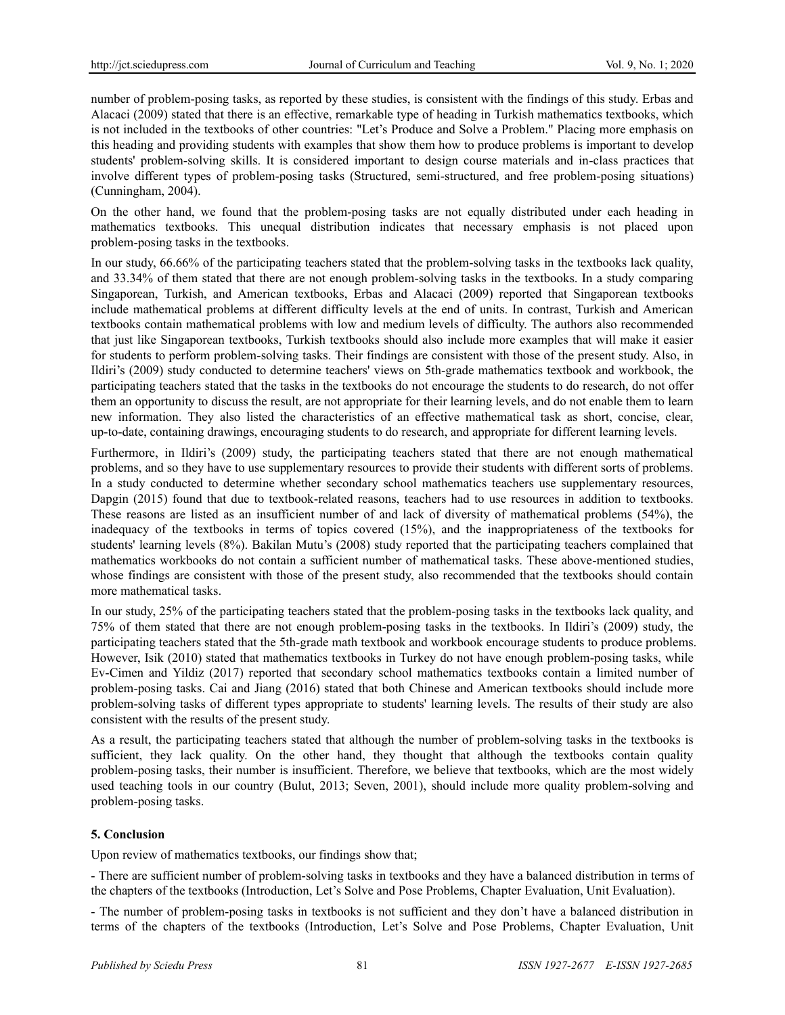number of problem-posing tasks, as reported by these studies, is consistent with the findings of this study. Erbas and Alacaci (2009) stated that there is an effective, remarkable type of heading in Turkish mathematics textbooks, which is not included in the textbooks of other countries: "Let's Produce and Solve a Problem." Placing more emphasis on this heading and providing students with examples that show them how to produce problems is important to develop students' problem-solving skills. It is considered important to design course materials and in-class practices that involve different types of problem-posing tasks (Structured, semi-structured, and free problem-posing situations) (Cunningham, 2004).

On the other hand, we found that the problem-posing tasks are not equally distributed under each heading in mathematics textbooks. This unequal distribution indicates that necessary emphasis is not placed upon problem-posing tasks in the textbooks.

In our study, 66.66% of the participating teachers stated that the problem-solving tasks in the textbooks lack quality, and 33.34% of them stated that there are not enough problem-solving tasks in the textbooks. In a study comparing Singaporean, Turkish, and American textbooks, Erbas and Alacaci (2009) reported that Singaporean textbooks include mathematical problems at different difficulty levels at the end of units. In contrast, Turkish and American textbooks contain mathematical problems with low and medium levels of difficulty. The authors also recommended that just like Singaporean textbooks, Turkish textbooks should also include more examples that will make it easier for students to perform problem-solving tasks. Their findings are consistent with those of the present study. Also, in Ildiri's (2009) study conducted to determine teachers' views on 5th-grade mathematics textbook and workbook, the participating teachers stated that the tasks in the textbooks do not encourage the students to do research, do not offer them an opportunity to discuss the result, are not appropriate for their learning levels, and do not enable them to learn new information. They also listed the characteristics of an effective mathematical task as short, concise, clear, up-to-date, containing drawings, encouraging students to do research, and appropriate for different learning levels.

Furthermore, in Ildiri's (2009) study, the participating teachers stated that there are not enough mathematical problems, and so they have to use supplementary resources to provide their students with different sorts of problems. In a study conducted to determine whether secondary school mathematics teachers use supplementary resources, Dapgin (2015) found that due to textbook-related reasons, teachers had to use resources in addition to textbooks. These reasons are listed as an insufficient number of and lack of diversity of mathematical problems (54%), the inadequacy of the textbooks in terms of topics covered (15%), and the inappropriateness of the textbooks for students' learning levels (8%). Bakilan Mutu's (2008) study reported that the participating teachers complained that mathematics workbooks do not contain a sufficient number of mathematical tasks. These above-mentioned studies, whose findings are consistent with those of the present study, also recommended that the textbooks should contain more mathematical tasks.

In our study, 25% of the participating teachers stated that the problem-posing tasks in the textbooks lack quality, and 75% of them stated that there are not enough problem-posing tasks in the textbooks. In Ildiri's (2009) study, the participating teachers stated that the 5th-grade math textbook and workbook encourage students to produce problems. However, Isik (2010) stated that mathematics textbooks in Turkey do not have enough problem-posing tasks, while Ev-Cimen and Yildiz (2017) reported that secondary school mathematics textbooks contain a limited number of problem-posing tasks. Cai and Jiang (2016) stated that both Chinese and American textbooks should include more problem-solving tasks of different types appropriate to students' learning levels. The results of their study are also consistent with the results of the present study.

As a result, the participating teachers stated that although the number of problem-solving tasks in the textbooks is sufficient, they lack quality. On the other hand, they thought that although the textbooks contain quality problem-posing tasks, their number is insufficient. Therefore, we believe that textbooks, which are the most widely used teaching tools in our country (Bulut, 2013; Seven, 2001), should include more quality problem-solving and problem-posing tasks.

### **5. Conclusion**

Upon review of mathematics textbooks, our findings show that;

- There are sufficient number of problem-solving tasks in textbooks and they have a balanced distribution in terms of the chapters of the textbooks (Introduction, Let's Solve and Pose Problems, Chapter Evaluation, Unit Evaluation).

- The number of problem-posing tasks in textbooks is not sufficient and they don't have a balanced distribution in terms of the chapters of the textbooks (Introduction, Let's Solve and Pose Problems, Chapter Evaluation, Unit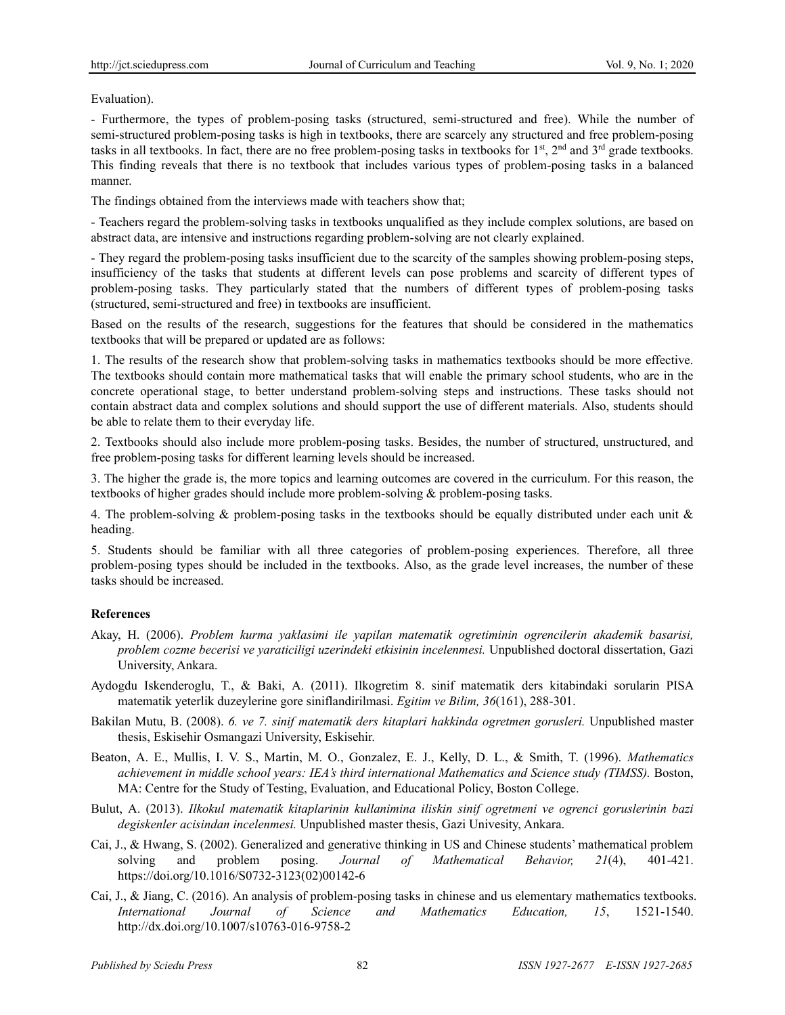Evaluation).

- Furthermore, the types of problem-posing tasks (structured, semi-structured and free). While the number of semi-structured problem-posing tasks is high in textbooks, there are scarcely any structured and free problem-posing tasks in all textbooks. In fact, there are no free problem-posing tasks in textbooks for  $1<sup>st</sup>$ ,  $2<sup>nd</sup>$  and  $3<sup>rd</sup>$  grade textbooks. This finding reveals that there is no textbook that includes various types of problem-posing tasks in a balanced manner.

The findings obtained from the interviews made with teachers show that;

- Teachers regard the problem-solving tasks in textbooks unqualified as they include complex solutions, are based on abstract data, are intensive and instructions regarding problem-solving are not clearly explained.

- They regard the problem-posing tasks insufficient due to the scarcity of the samples showing problem-posing steps, insufficiency of the tasks that students at different levels can pose problems and scarcity of different types of problem-posing tasks. They particularly stated that the numbers of different types of problem-posing tasks (structured, semi-structured and free) in textbooks are insufficient.

Based on the results of the research, suggestions for the features that should be considered in the mathematics textbooks that will be prepared or updated are as follows:

1. The results of the research show that problem-solving tasks in mathematics textbooks should be more effective. The textbooks should contain more mathematical tasks that will enable the primary school students, who are in the concrete operational stage, to better understand problem-solving steps and instructions. These tasks should not contain abstract data and complex solutions and should support the use of different materials. Also, students should be able to relate them to their everyday life.

2. Textbooks should also include more problem-posing tasks. Besides, the number of structured, unstructured, and free problem-posing tasks for different learning levels should be increased.

3. The higher the grade is, the more topics and learning outcomes are covered in the curriculum. For this reason, the textbooks of higher grades should include more problem-solving & problem-posing tasks.

4. The problem-solving & problem-posing tasks in the textbooks should be equally distributed under each unit & heading.

5. Students should be familiar with all three categories of problem-posing experiences. Therefore, all three problem-posing types should be included in the textbooks. Also, as the grade level increases, the number of these tasks should be increased.

### **References**

- Akay, H. (2006). *Problem kurma yaklasimi ile yapilan matematik ogretiminin ogrencilerin akademik basarisi, problem cozme becerisi ve yaraticiligi uzerindeki etkisinin incelenmesi.* Unpublished doctoral dissertation, Gazi University, Ankara.
- Aydogdu Iskenderoglu, T., & Baki, A. (2011). Ilkogretim 8. sinif matematik ders kitabindaki sorularin PISA matematik yeterlik duzeylerine gore siniflandirilmasi. *Egitim ve Bilim, 36*(161), 288-301.
- Bakilan Mutu, B. (2008). *6. ve 7. sinif matematik ders kitaplari hakkinda ogretmen gorusleri.* Unpublished master thesis, Eskisehir Osmangazi University, Eskisehir.
- Beaton, A. E., Mullis, I. V. S., Martin, M. O., Gonzalez, E. J., Kelly, D. L., & Smith, T. (1996). *Mathematics achievement in middle school years: IEA's third international Mathematics and Science study (TIMSS).* Boston, MA: Centre for the Study of Testing, Evaluation, and Educational Policy, Boston College.
- Bulut, A. (2013). *Ilkokul matematik kitaplarinin kullanimina iliskin sinif ogretmeni ve ogrenci goruslerinin bazi degiskenler acisindan incelenmesi.* Unpublished master thesis, Gazi Univesity, Ankara.
- Cai, J., & Hwang, S. (2002). Generalized and generative thinking in US and Chinese students' mathematical problem solving and problem posing. *Journal of Mathematical Behavior, 21*(4), 401-421. https://doi.org/10.1016/S0732-3123(02)00142-6
- Cai, J., & Jiang, C. (2016). An analysis of problem-posing tasks in chinese and us elementary mathematics textbooks. *International Journal of Science and Mathematics Education, 15*, 1521-1540. http://dx.doi.org/10.1007/s10763-016-9758-2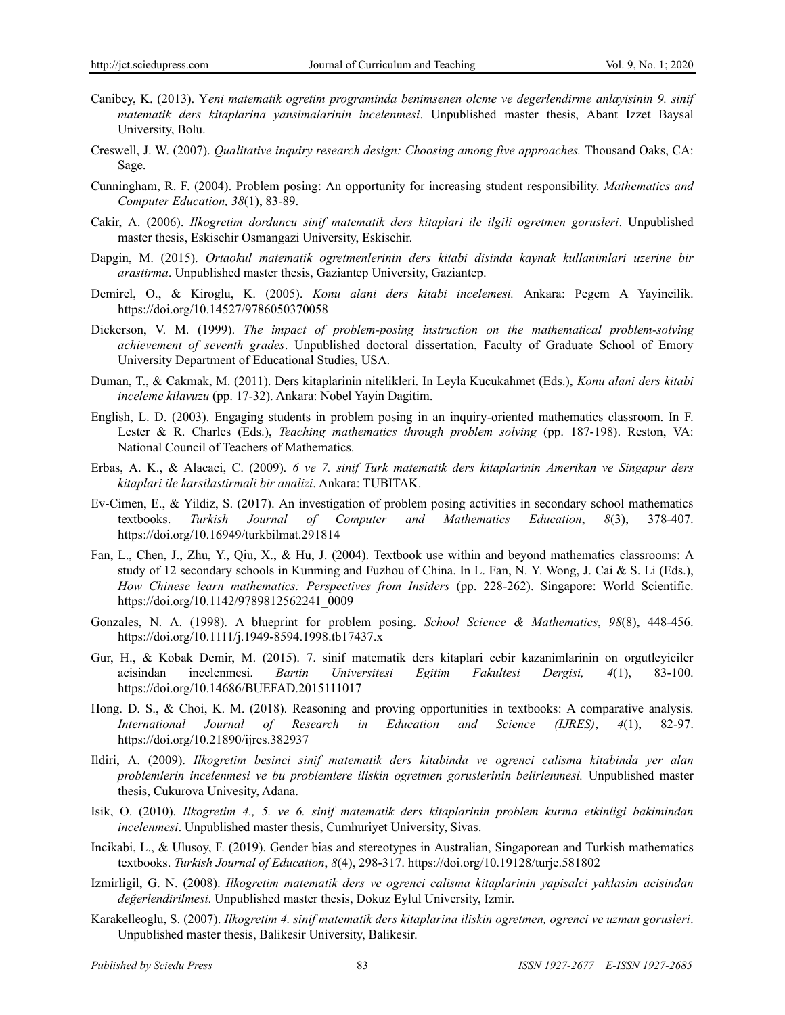- Canibey, K. (2013). Y*eni matematik ogretim programinda benimsenen olcme ve degerlendirme anlayisinin 9. sinif matematik ders kitaplarina yansimalarinin incelenmesi*. Unpublished master thesis, Abant Izzet Baysal University, Bolu.
- Creswell, J. W. (2007). *Qualitative inquiry research design: Choosing among five approaches.* Thousand Oaks, CA: Sage.
- Cunningham, R. F. (2004). Problem posing: An opportunity for increasing student responsibility. *Mathematics and Computer Education, 38*(1), 83-89.
- Cakir, A. (2006). *Ilkogretim dorduncu sinif matematik ders kitaplari ile ilgili ogretmen gorusleri*. Unpublished master thesis, Eskisehir Osmangazi University, Eskisehir.
- Dapgin, M. (2015). *Ortaokul matematik ogretmenlerinin ders kitabi disinda kaynak kullanimlari uzerine bir arastirma*. Unpublished master thesis, Gaziantep University, Gaziantep.
- Demirel, O., & Kiroglu, K. (2005). *Konu alani ders kitabi incelemesi.* Ankara: Pegem A Yayincilik. https://doi.org/10.14527/9786050370058
- Dickerson, V. M. (1999). *The impact of problem-posing instruction on the mathematical problem-solving achievement of seventh grades*. Unpublished doctoral dissertation, Faculty of Graduate School of Emory University Department of Educational Studies, USA.
- Duman, T., & Cakmak, M. (2011). Ders kitaplarinin nitelikleri. In Leyla Kucukahmet (Eds.), *Konu alani ders kitabi inceleme kilavuzu* (pp. 17-32). Ankara: Nobel Yayin Dagitim.
- English, L. D. (2003). Engaging students in problem posing in an inquiry-oriented mathematics classroom. In F. Lester & R. Charles (Eds.), *Teaching mathematics through problem solving* (pp. 187-198). Reston, VA: National Council of Teachers of Mathematics.
- Erbas, A. K., & Alacaci, C. (2009). *6 ve 7. sinif Turk matematik ders kitaplarinin Amerikan ve Singapur ders kitaplari ile karsilastirmali bir analizi*. Ankara: TUBITAK.
- Ev-Cimen, E., & Yildiz, S. (2017). An investigation of problem posing activities in secondary school mathematics textbooks. *Turkish Journal of Computer and Mathematics Education*, *8*(3), 378-407. https://doi.org/10.16949/turkbilmat.291814
- Fan, L., Chen, J., Zhu, Y., Qiu, X., & Hu, J. (2004). Textbook use within and beyond mathematics classrooms: A study of 12 secondary schools in Kunming and Fuzhou of China. In L. Fan, N. Y. Wong, J. Cai & S. Li (Eds.), *How Chinese learn mathematics: Perspectives from Insiders* (pp. 228-262). Singapore: World Scientific. https://doi.org/10.1142/9789812562241\_0009
- Gonzales, N. A. (1998). A blueprint for problem posing. *School Science & Mathematics*, *98*(8), 448-456. https://doi.org/10.1111/j.1949-8594.1998.tb17437.x
- Gur, H., & Kobak Demir, M. (2015). 7. sinif matematik ders kitaplari cebir kazanimlarinin on orgutleyiciler acisindan incelenmesi. *Bartin Universitesi Egitim Fakultesi Dergisi, 4*(1), 83-100. https://doi.org/10.14686/BUEFAD.2015111017
- Hong. D. S., & Choi, K. M. (2018). Reasoning and proving opportunities in textbooks: A comparative analysis. *International Journal of Research in Education and Science (IJRES)*, *4*(1), 82-97. https://doi.org/10.21890/ijres.382937
- Ildiri, A. (2009). *Ilkogretim besinci sinif matematik ders kitabinda ve ogrenci calisma kitabinda yer alan problemlerin incelenmesi ve bu problemlere iliskin ogretmen goruslerinin belirlenmesi.* Unpublished master thesis, Cukurova Univesity, Adana.
- Isik, O. (2010). *Ilkogretim 4., 5. ve 6. sinif matematik ders kitaplarinin problem kurma etkinligi bakimindan incelenmesi*. Unpublished master thesis, Cumhuriyet University, Sivas.
- Incikabi, L., & Ulusoy, F. (2019). Gender bias and stereotypes in Australian, Singaporean and Turkish mathematics textbooks. *Turkish Journal of Education*, *8*(4), 298-317. https://doi.org/10.19128/turje.581802
- Izmirligil, G. N. (2008). *Ilkogretim matematik ders ve ogrenci calisma kitaplarinin yapisalci yaklasim acisindan değerlendirilmesi*. Unpublished master thesis, Dokuz Eylul University, Izmir.
- Karakelleoglu, S. (2007). *Ilkogretim 4. sinif matematik ders kitaplarina iliskin ogretmen, ogrenci ve uzman gorusleri*. Unpublished master thesis, Balikesir University, Balikesir.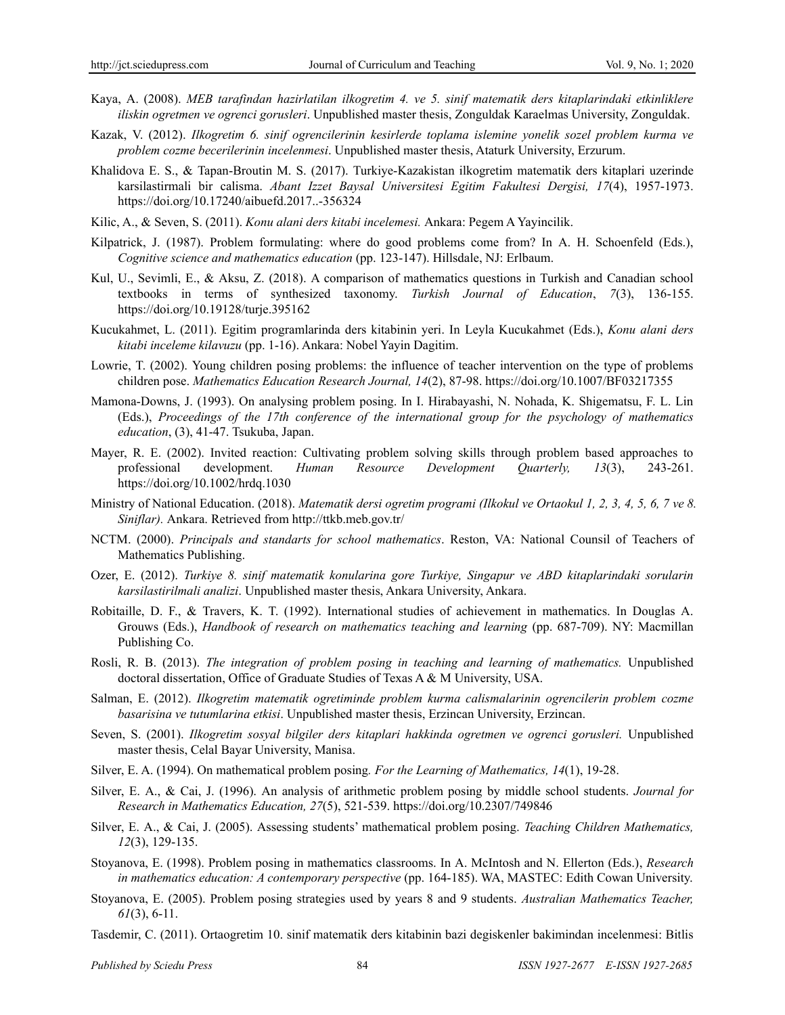- Kaya, A. (2008). *MEB tarafindan hazirlatilan ilkogretim 4. ve 5. sinif matematik ders kitaplarindaki etkinliklere iliskin ogretmen ve ogrenci gorusleri*. Unpublished master thesis, Zonguldak Karaelmas University, Zonguldak.
- Kazak, V. (2012). *Ilkogretim 6. sinif ogrencilerinin kesirlerde toplama islemine yonelik sozel problem kurma ve problem cozme becerilerinin incelenmesi*. Unpublished master thesis, Ataturk University, Erzurum.
- Khalidova E. S., & Tapan-Broutin M. S. (2017). Turkiye-Kazakistan ilkogretim matematik ders kitaplari uzerinde karsilastirmali bir calisma. *Abant Izzet Baysal Universitesi Egitim Fakultesi Dergisi, 17*(4), 1957-1973. https://doi.org/10.17240/aibuefd.2017..-356324
- Kilic, A., & Seven, S. (2011). *Konu alani ders kitabi incelemesi.* Ankara: Pegem A Yayincilik.
- Kilpatrick, J. (1987). Problem formulating: where do good problems come from? In A. H. Schoenfeld (Eds.), *Cognitive science and mathematics education* (pp. 123-147). Hillsdale, NJ: Erlbaum.
- Kul, U., Sevimli, E., & Aksu, Z. (2018). A comparison of mathematics questions in Turkish and Canadian school textbooks in terms of synthesized taxonomy. *Turkish Journal of Education*, *7*(3), 136-155. https://doi.org/10.19128/turje.395162
- Kucukahmet, L. (2011). Egitim programlarinda ders kitabinin yeri. In Leyla Kucukahmet (Eds.), *Konu alani ders kitabi inceleme kilavuzu* (pp. 1-16). Ankara: Nobel Yayin Dagitim.
- Lowrie, T. (2002). Young children posing problems: the influence of teacher intervention on the type of problems children pose. *Mathematics Education Research Journal, 14*(2), 87-98. https://doi.org/10.1007/BF03217355
- Mamona-Downs, J. (1993). On analysing problem posing. In I. Hirabayashi, N. Nohada, K. Shigematsu, F. L. Lin (Eds.), *Proceedings of the 17th conference of the international group for the psychology of mathematics education*, (3), 41-47. Tsukuba, Japan.
- Mayer, R. E. (2002). Invited reaction: Cultivating problem solving skills through problem based approaches to professional development. *Human Resource Development Quarterly, 13*(3), 243-261. https://doi.org/10.1002/hrdq.1030
- Ministry of National Education. (2018). *Matematik dersi ogretim programi (Ilkokul ve Ortaokul 1, 2, 3, 4, 5, 6, 7 ve 8. Siniflar).* Ankara. Retrieved from http://ttkb.meb.gov.tr/
- NCTM. (2000). *Principals and standarts for school mathematics*. Reston, VA: National Counsil of Teachers of Mathematics Publishing.
- Ozer, E. (2012). *Turkiye 8. sinif matematik konularina gore Turkiye, Singapur ve ABD kitaplarindaki sorularin karsilastirilmali analizi*. Unpublished master thesis, Ankara University, Ankara.
- Robitaille, D. F., & Travers, K. T. (1992). International studies of achievement in mathematics. In Douglas A. Grouws (Eds.), *Handbook of research on mathematics teaching and learning* (pp. 687-709). NY: Macmillan Publishing Co.
- Rosli, R. B. (2013). *The integration of problem posing in teaching and learning of mathematics.* Unpublished doctoral dissertation, Office of Graduate Studies of Texas A & M University, USA.
- Salman, E. (2012). *Ilkogretim matematik ogretiminde problem kurma calismalarinin ogrencilerin problem cozme basarisina ve tutumlarina etkisi*. Unpublished master thesis, Erzincan University, Erzincan.
- Seven, S. (2001). *Ilkogretim sosyal bilgiler ders kitaplari hakkinda ogretmen ve ogrenci gorusleri.* Unpublished master thesis, Celal Bayar University, Manisa.
- Silver, E. A. (1994). On mathematical problem posing*. For the Learning of Mathematics, 14*(1), 19-28.
- Silver, E. A., & Cai, J. (1996). An analysis of arithmetic problem posing by middle school students. *Journal for Research in Mathematics Education, 27*(5), 521-539. https://doi.org/10.2307/749846
- Silver, E. A., & Cai, J. (2005). Assessing students' mathematical problem posing. *Teaching Children Mathematics, 12*(3), 129-135.
- Stoyanova, E. (1998). Problem posing in mathematics classrooms. In A. McIntosh and N. Ellerton (Eds.), *Research in mathematics education: A contemporary perspective* (pp. 164-185). WA, MASTEC: Edith Cowan University.
- Stoyanova, E. (2005). Problem posing strategies used by years 8 and 9 students. *Australian Mathematics Teacher, 61*(3), 6-11.
- Tasdemir, C. (2011). Ortaogretim 10. sinif matematik ders kitabinin bazi degiskenler bakimindan incelenmesi: Bitlis